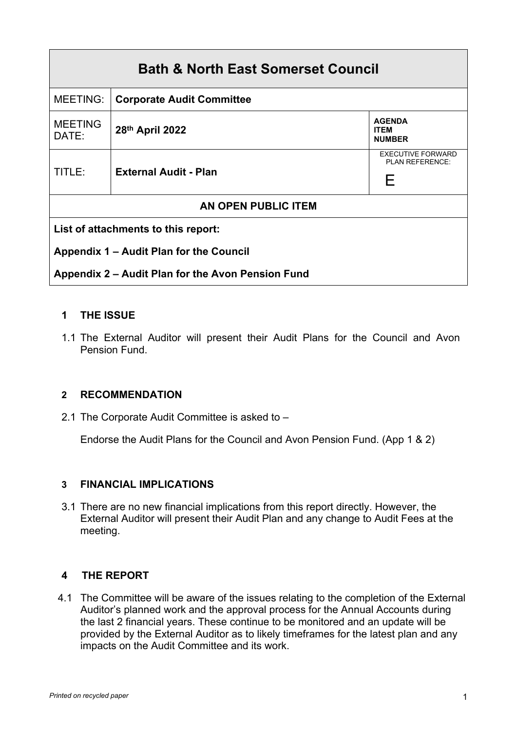| <b>Bath &amp; North East Somerset Council</b>     |                                  |                                                  |  |
|---------------------------------------------------|----------------------------------|--------------------------------------------------|--|
| <b>MEETING:</b>                                   | <b>Corporate Audit Committee</b> |                                                  |  |
| <b>MEETING</b><br>DATE:                           | 28th April 2022                  | <b>AGENDA</b><br><b>ITEM</b><br><b>NUMBER</b>    |  |
| TITLE:                                            | <b>External Audit - Plan</b>     | <b>EXECUTIVE FORWARD</b><br>PLAN REFERENCE:<br>F |  |
| <b>AN OPEN PUBLIC ITEM</b>                        |                                  |                                                  |  |
| List of attachments to this report:               |                                  |                                                  |  |
| Appendix 1 – Audit Plan for the Council           |                                  |                                                  |  |
| Appendix 2 – Audit Plan for the Avon Pension Fund |                                  |                                                  |  |

# **1 THE ISSUE**

1.1 The External Auditor will present their Audit Plans for the Council and Avon Pension Fund.

# **2 RECOMMENDATION**

2.1 The Corporate Audit Committee is asked to –

Endorse the Audit Plans for the Council and Avon Pension Fund. (App 1 & 2)

# **3 FINANCIAL IMPLICATIONS**

3.1 There are no new financial implications from this report directly. However, the External Auditor will present their Audit Plan and any change to Audit Fees at the meeting.

# **4 THE REPORT**

 4.1 The Committee will be aware of the issues relating to the completion of the External Auditor's planned work and the approval process for the Annual Accounts during the last 2 financial years. These continue to be monitored and an update will be provided by the External Auditor as to likely timeframes for the latest plan and any impacts on the Audit Committee and its work.